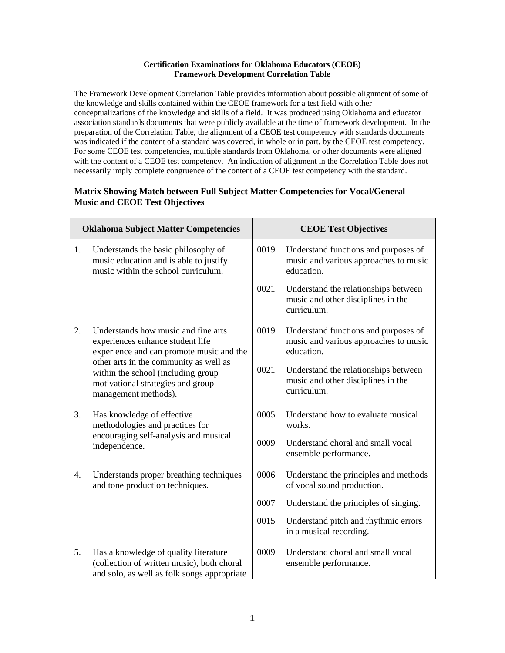## **Certification Examinations for Oklahoma Educators (CEOE) Framework Development Correlation Table**

The Framework Development Correlation Table provides information about possible alignment of some of the knowledge and skills contained within the CEOE framework for a test field with other conceptualizations of the knowledge and skills of a field. It was produced using Oklahoma and educator association standards documents that were publicly available at the time of framework development. In the preparation of the Correlation Table, the alignment of a CEOE test competency with standards documents was indicated if the content of a standard was covered, in whole or in part, by the CEOE test competency. For some CEOE test competencies, multiple standards from Oklahoma, or other documents were aligned with the content of a CEOE test competency. An indication of alignment in the Correlation Table does not necessarily imply complete congruence of the content of a CEOE test competency with the standard.

## **Matrix Showing Match between Full Subject Matter Competencies for Vocal/General Music and CEOE Test Objectives**

| <b>Oklahoma Subject Matter Competencies</b> |                                                                                                                                                                                                                                                                  | <b>CEOE Test Objectives</b> |                                                                                             |
|---------------------------------------------|------------------------------------------------------------------------------------------------------------------------------------------------------------------------------------------------------------------------------------------------------------------|-----------------------------|---------------------------------------------------------------------------------------------|
| 1.                                          | Understands the basic philosophy of<br>music education and is able to justify<br>music within the school curriculum.                                                                                                                                             | 0019                        | Understand functions and purposes of<br>music and various approaches to music<br>education. |
|                                             |                                                                                                                                                                                                                                                                  | 0021                        | Understand the relationships between<br>music and other disciplines in the<br>curriculum.   |
| 2.                                          | Understands how music and fine arts<br>experiences enhance student life<br>experience and can promote music and the<br>other arts in the community as well as<br>within the school (including group<br>motivational strategies and group<br>management methods). | 0019                        | Understand functions and purposes of<br>music and various approaches to music<br>education. |
|                                             |                                                                                                                                                                                                                                                                  | 0021                        | Understand the relationships between<br>music and other disciplines in the<br>curriculum.   |
| 3.                                          | Has knowledge of effective<br>methodologies and practices for<br>encouraging self-analysis and musical<br>independence.                                                                                                                                          | 0005                        | Understand how to evaluate musical<br>works.                                                |
|                                             |                                                                                                                                                                                                                                                                  | 0009                        | Understand choral and small vocal<br>ensemble performance.                                  |
| 4.                                          | Understands proper breathing techniques<br>and tone production techniques.                                                                                                                                                                                       | 0006                        | Understand the principles and methods<br>of vocal sound production.                         |
|                                             |                                                                                                                                                                                                                                                                  | 0007                        | Understand the principles of singing.                                                       |
|                                             |                                                                                                                                                                                                                                                                  | 0015                        | Understand pitch and rhythmic errors<br>in a musical recording.                             |
| 5.                                          | Has a knowledge of quality literature<br>(collection of written music), both choral<br>and solo, as well as folk songs appropriate                                                                                                                               | 0009                        | Understand choral and small vocal<br>ensemble performance.                                  |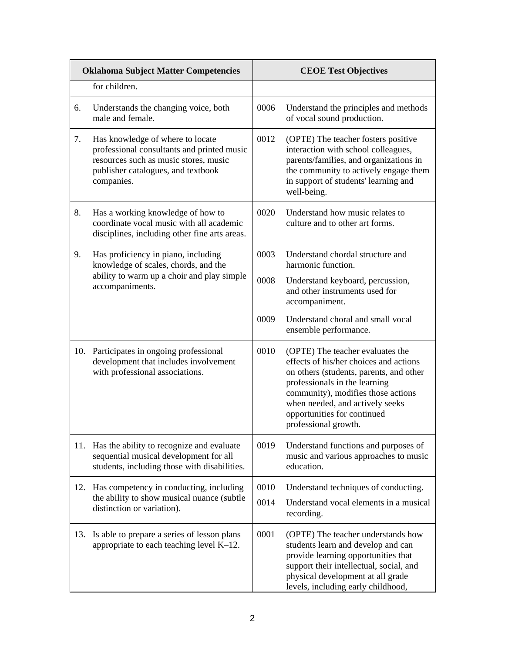| <b>Oklahoma Subject Matter Competencies</b> |                                                                                                                                                                             | <b>CEOE Test Objectives</b> |                                                                                                                                                                                                                                                                                        |
|---------------------------------------------|-----------------------------------------------------------------------------------------------------------------------------------------------------------------------------|-----------------------------|----------------------------------------------------------------------------------------------------------------------------------------------------------------------------------------------------------------------------------------------------------------------------------------|
|                                             | for children.                                                                                                                                                               |                             |                                                                                                                                                                                                                                                                                        |
| 6.                                          | Understands the changing voice, both<br>male and female.                                                                                                                    | 0006                        | Understand the principles and methods<br>of vocal sound production.                                                                                                                                                                                                                    |
| 7.                                          | Has knowledge of where to locate<br>professional consultants and printed music<br>resources such as music stores, music<br>publisher catalogues, and textbook<br>companies. | 0012                        | (OPTE) The teacher fosters positive<br>interaction with school colleagues,<br>parents/families, and organizations in<br>the community to actively engage them<br>in support of students' learning and<br>well-being.                                                                   |
| 8.                                          | Has a working knowledge of how to<br>coordinate vocal music with all academic<br>disciplines, including other fine arts areas.                                              | 0020                        | Understand how music relates to<br>culture and to other art forms.                                                                                                                                                                                                                     |
| 9.                                          | Has proficiency in piano, including<br>knowledge of scales, chords, and the<br>ability to warm up a choir and play simple<br>accompaniments.                                | 0003                        | Understand chordal structure and<br>harmonic function.                                                                                                                                                                                                                                 |
|                                             |                                                                                                                                                                             | 0008                        | Understand keyboard, percussion,<br>and other instruments used for<br>accompaniment.                                                                                                                                                                                                   |
|                                             |                                                                                                                                                                             | 0009                        | Understand choral and small vocal<br>ensemble performance.                                                                                                                                                                                                                             |
| 10.                                         | Participates in ongoing professional<br>development that includes involvement<br>with professional associations.                                                            | 0010                        | (OPTE) The teacher evaluates the<br>effects of his/her choices and actions<br>on others (students, parents, and other<br>professionals in the learning<br>community), modifies those actions<br>when needed, and actively seeks<br>opportunities for continued<br>professional growth. |
| 11.                                         | Has the ability to recognize and evaluate<br>sequential musical development for all<br>students, including those with disabilities.                                         | 0019                        | Understand functions and purposes of<br>music and various approaches to music<br>education.                                                                                                                                                                                            |
| 12.                                         | Has competency in conducting, including<br>the ability to show musical nuance (subtle<br>distinction or variation).                                                         | 0010                        | Understand techniques of conducting.                                                                                                                                                                                                                                                   |
|                                             |                                                                                                                                                                             | 0014                        | Understand vocal elements in a musical<br>recording.                                                                                                                                                                                                                                   |
| 13.                                         | Is able to prepare a series of lesson plans<br>appropriate to each teaching level $K-12$ .                                                                                  | 0001                        | (OPTE) The teacher understands how<br>students learn and develop and can<br>provide learning opportunities that<br>support their intellectual, social, and<br>physical development at all grade<br>levels, including early childhood,                                                  |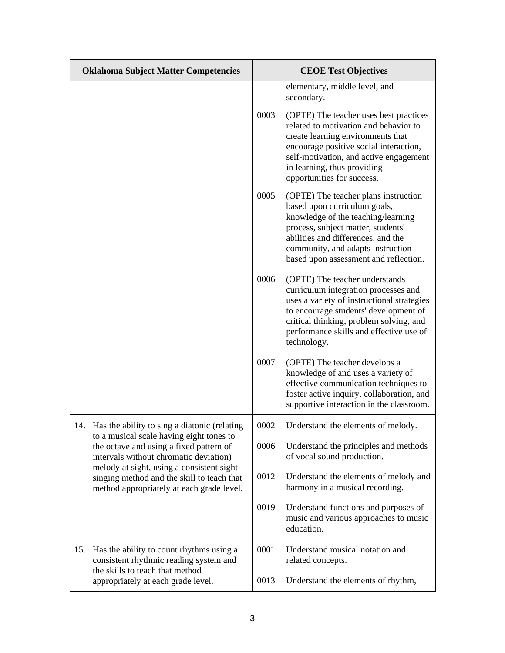| <b>Oklahoma Subject Matter Competencies</b>                                                                                          |      | <b>CEOE Test Objectives</b>                                                                                                                                                                                                                                           |  |
|--------------------------------------------------------------------------------------------------------------------------------------|------|-----------------------------------------------------------------------------------------------------------------------------------------------------------------------------------------------------------------------------------------------------------------------|--|
|                                                                                                                                      |      | elementary, middle level, and<br>secondary.                                                                                                                                                                                                                           |  |
|                                                                                                                                      | 0003 | (OPTE) The teacher uses best practices<br>related to motivation and behavior to<br>create learning environments that<br>encourage positive social interaction,<br>self-motivation, and active engagement<br>in learning, thus providing<br>opportunities for success. |  |
|                                                                                                                                      | 0005 | (OPTE) The teacher plans instruction<br>based upon curriculum goals,<br>knowledge of the teaching/learning<br>process, subject matter, students'<br>abilities and differences, and the<br>community, and adapts instruction<br>based upon assessment and reflection.  |  |
|                                                                                                                                      | 0006 | (OPTE) The teacher understands<br>curriculum integration processes and<br>uses a variety of instructional strategies<br>to encourage students' development of<br>critical thinking, problem solving, and<br>performance skills and effective use of<br>technology.    |  |
|                                                                                                                                      | 0007 | (OPTE) The teacher develops a<br>knowledge of and uses a variety of<br>effective communication techniques to<br>foster active inquiry, collaboration, and<br>supportive interaction in the classroom.                                                                 |  |
| 14. Has the ability to sing a diatonic (relating                                                                                     | 0002 | Understand the elements of melody.                                                                                                                                                                                                                                    |  |
| to a musical scale having eight tones to<br>the octave and using a fixed pattern of<br>intervals without chromatic deviation)        | 0006 | Understand the principles and methods<br>of vocal sound production.                                                                                                                                                                                                   |  |
| melody at sight, using a consistent sight<br>singing method and the skill to teach that<br>method appropriately at each grade level. | 0012 | Understand the elements of melody and<br>harmony in a musical recording.                                                                                                                                                                                              |  |
|                                                                                                                                      | 0019 | Understand functions and purposes of<br>music and various approaches to music<br>education.                                                                                                                                                                           |  |
| Has the ability to count rhythms using a<br>15.<br>consistent rhythmic reading system and                                            | 0001 | Understand musical notation and<br>related concepts.                                                                                                                                                                                                                  |  |
| the skills to teach that method<br>appropriately at each grade level.                                                                | 0013 | Understand the elements of rhythm,                                                                                                                                                                                                                                    |  |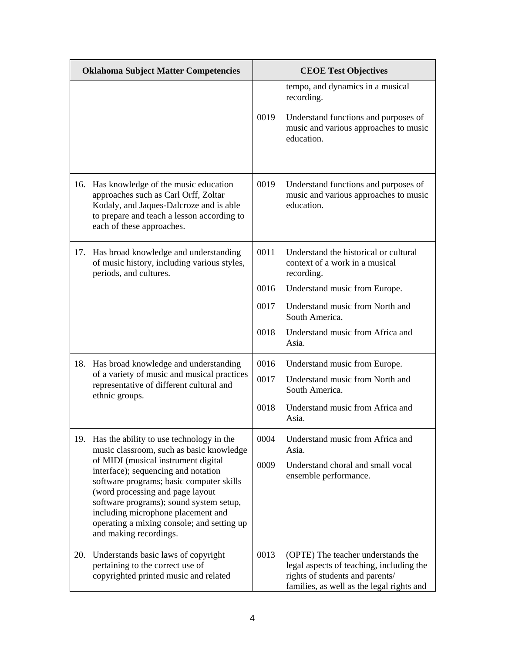| <b>Oklahoma Subject Matter Competencies</b> |                                                                                                                                                                                                                                                                                                                                                                                                             | <b>CEOE Test Objectives</b> |                                                                                                                                                                |
|---------------------------------------------|-------------------------------------------------------------------------------------------------------------------------------------------------------------------------------------------------------------------------------------------------------------------------------------------------------------------------------------------------------------------------------------------------------------|-----------------------------|----------------------------------------------------------------------------------------------------------------------------------------------------------------|
|                                             |                                                                                                                                                                                                                                                                                                                                                                                                             | 0019                        | tempo, and dynamics in a musical<br>recording.<br>Understand functions and purposes of<br>music and various approaches to music<br>education.                  |
|                                             |                                                                                                                                                                                                                                                                                                                                                                                                             |                             |                                                                                                                                                                |
| 16.                                         | Has knowledge of the music education<br>approaches such as Carl Orff, Zoltar<br>Kodaly, and Jaques-Dalcroze and is able<br>to prepare and teach a lesson according to<br>each of these approaches.                                                                                                                                                                                                          | 0019                        | Understand functions and purposes of<br>music and various approaches to music<br>education.                                                                    |
| 17.                                         | Has broad knowledge and understanding<br>of music history, including various styles,<br>periods, and cultures.                                                                                                                                                                                                                                                                                              | 0011                        | Understand the historical or cultural<br>context of a work in a musical<br>recording.                                                                          |
|                                             |                                                                                                                                                                                                                                                                                                                                                                                                             | 0016                        | Understand music from Europe.                                                                                                                                  |
|                                             |                                                                                                                                                                                                                                                                                                                                                                                                             | 0017                        | Understand music from North and<br>South America.                                                                                                              |
|                                             |                                                                                                                                                                                                                                                                                                                                                                                                             | 0018                        | Understand music from Africa and<br>Asia.                                                                                                                      |
|                                             | 18. Has broad knowledge and understanding<br>of a variety of music and musical practices<br>representative of different cultural and<br>ethnic groups.                                                                                                                                                                                                                                                      | 0016                        | Understand music from Europe.                                                                                                                                  |
|                                             |                                                                                                                                                                                                                                                                                                                                                                                                             | 0017                        | Understand music from North and<br>South America.                                                                                                              |
|                                             |                                                                                                                                                                                                                                                                                                                                                                                                             | 0018                        | Understand music from Africa and<br>Asia.                                                                                                                      |
| 19.                                         | Has the ability to use technology in the<br>music classroom, such as basic knowledge<br>of MIDI (musical instrument digital<br>interface); sequencing and notation<br>software programs; basic computer skills<br>(word processing and page layout<br>software programs); sound system setup,<br>including microphone placement and<br>operating a mixing console; and setting up<br>and making recordings. | 0004                        | Understand music from Africa and<br>Asia.                                                                                                                      |
|                                             |                                                                                                                                                                                                                                                                                                                                                                                                             | 0009                        | Understand choral and small vocal<br>ensemble performance.                                                                                                     |
| 20.                                         | Understands basic laws of copyright<br>pertaining to the correct use of<br>copyrighted printed music and related                                                                                                                                                                                                                                                                                            | 0013                        | (OPTE) The teacher understands the<br>legal aspects of teaching, including the<br>rights of students and parents/<br>families, as well as the legal rights and |